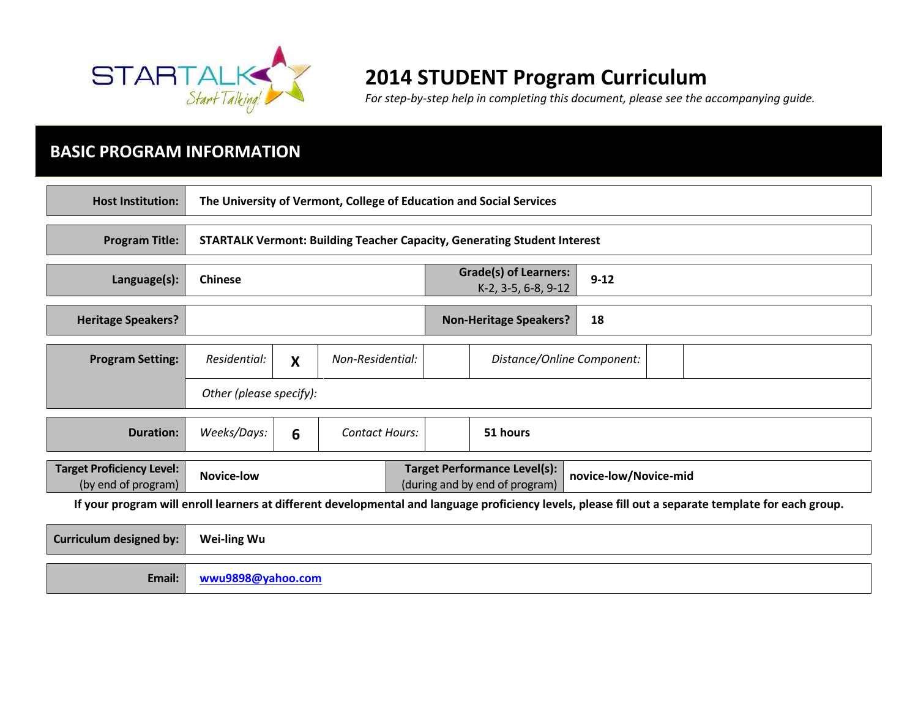

# **2014 STUDENT Program Curriculum**

*For step-by-step help in completing this document, please see the accompanying guide.* 

# **BASIC PROGRAM INFORMATION**

| <b>Host Institution:</b>                                                                                                                             | The University of Vermont, College of Education and Social Services             |                                                                                                |                       |                                                     |                            |  |  |
|------------------------------------------------------------------------------------------------------------------------------------------------------|---------------------------------------------------------------------------------|------------------------------------------------------------------------------------------------|-----------------------|-----------------------------------------------------|----------------------------|--|--|
| <b>Program Title:</b>                                                                                                                                | <b>STARTALK Vermont: Building Teacher Capacity, Generating Student Interest</b> |                                                                                                |                       |                                                     |                            |  |  |
| Language(s):                                                                                                                                         | <b>Chinese</b>                                                                  |                                                                                                |                       | <b>Grade(s) of Learners:</b><br>K-2, 3-5, 6-8, 9-12 | $9 - 12$                   |  |  |
| <b>Heritage Speakers?</b>                                                                                                                            |                                                                                 |                                                                                                |                       | <b>Non-Heritage Speakers?</b>                       | 18                         |  |  |
| <b>Program Setting:</b>                                                                                                                              | Residential:                                                                    | X                                                                                              | Non-Residential:      |                                                     | Distance/Online Component: |  |  |
|                                                                                                                                                      | Other (please specify):                                                         |                                                                                                |                       |                                                     |                            |  |  |
| <b>Duration:</b>                                                                                                                                     | Weeks/Days:                                                                     | 6                                                                                              | <b>Contact Hours:</b> |                                                     | 51 hours                   |  |  |
| <b>Target Proficiency Level:</b><br>(by end of program)                                                                                              | <b>Novice-low</b>                                                               | <b>Target Performance Level(s):</b><br>novice-low/Novice-mid<br>(during and by end of program) |                       |                                                     |                            |  |  |
| If your program will enroll learners at different developmental and language proficiency levels, please fill out a separate template for each group. |                                                                                 |                                                                                                |                       |                                                     |                            |  |  |
| <b>Curriculum designed by:</b>                                                                                                                       | Wei-ling Wu                                                                     |                                                                                                |                       |                                                     |                            |  |  |
| Email:                                                                                                                                               |                                                                                 | wwu9898@yahoo.com                                                                              |                       |                                                     |                            |  |  |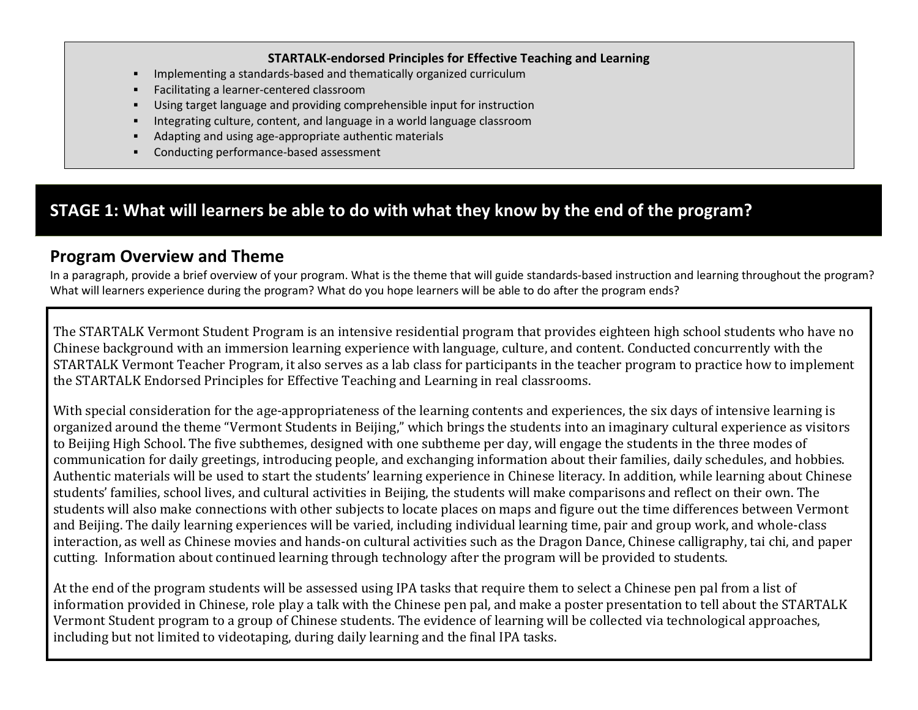#### **STARTALK-endorsed Principles for Effective Teaching and Learning**

- Implementing a standards-based and thematically organized curriculum
- Facilitating a learner-centered classroom
- Using target language and providing comprehensible input for instruction
- Integrating culture, content, and language in a world language classroom
- Adapting and using age-appropriate authentic materials
- Conducting performance-based assessment

## **STAGE 1: What will learners be able to do with what they know by the end of the program?**

### **Program Overview and Theme**

In a paragraph, provide a brief overview of your program. What is the theme that will guide standards-based instruction and learning throughout the program? What will learners experience during the program? What do you hope learners will be able to do after the program ends?

The STARTALK Vermont Student Program is an intensive residential program that provides eighteen high school students who have no Chinese background with an immersion learning experience with language, culture, and content. Conducted concurrently with the STARTALK Vermont Teacher Program, it also serves as a lab class for participants in the teacher program to practice how to implement the STARTALK Endorsed Principles for Effective Teaching and Learning in real classrooms.

With special consideration for the age-appropriateness of the learning contents and experiences, the six days of intensive learning is organized around the theme "Vermont Students in Beijing," which brings the students into an imaginary cultural experience as visitors to Beijing High School. The five subthemes, designed with one subtheme per day, will engage the students in the three modes of communication for daily greetings, introducing people, and exchanging information about their families, daily schedules, and hobbies. Authentic materials will be used to start the students' learning experience in Chinese literacy. In addition, while learning about Chinese students' families, school lives, and cultural activities in Beijing, the students will make comparisons and reflect on their own. The students will also make connections with other subjects to locate places on maps and figure out the time differences between Vermont and Beijing. The daily learning experiences will be varied, including individual learning time, pair and group work, and whole-class interaction, as well as Chinese movies and hands-on cultural activities such as the Dragon Dance, Chinese calligraphy, tai chi, and paper cutting. Information about continued learning through technology after the program will be provided to students.

At the end of the program students will be assessed using IPA tasks that require them to select a Chinese pen pal from a list of information provided in Chinese, role play a talk with the Chinese pen pal, and make a poster presentation to tell about the STARTALK Vermont Student program to a group of Chinese students. The evidence of learning will be collected via technological approaches, including but not limited to videotaping, during daily learning and the final IPA tasks.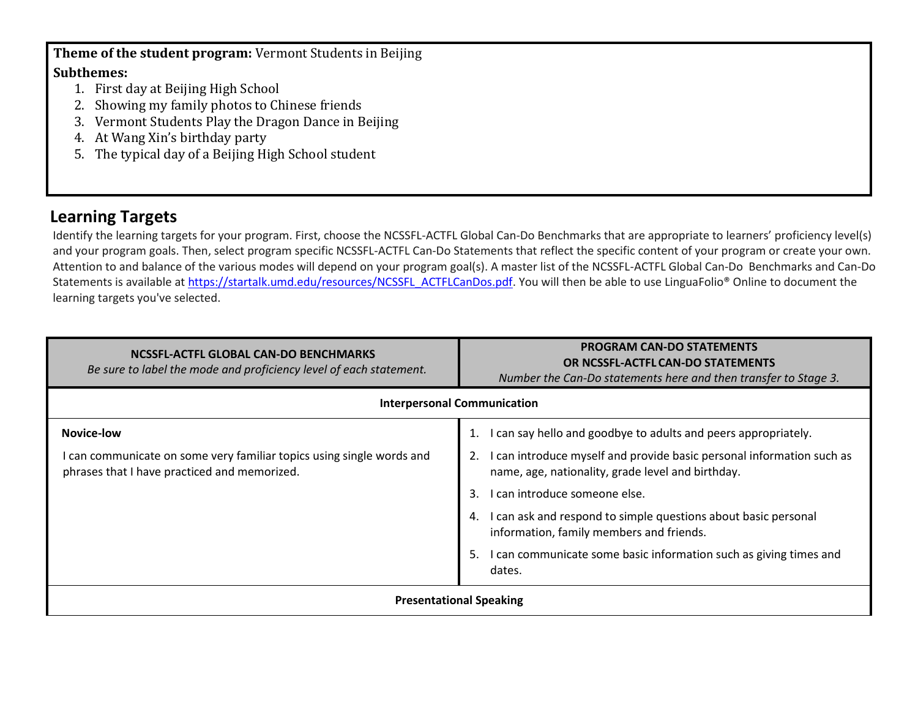**Theme of the student program:** Vermont Students in Beijing

#### **Subthemes:**

- 1. First day at Beijing High School
- 2. Showing my family photos to Chinese friends
- 3. Vermont Students Play the Dragon Dance in Beijing
- 4. At Wang Xin's birthday party
- 5. The typical day of a Beijing High School student

### **Learning Targets**

Identify the learning targets for your program. First, choose the NCSSFL-ACTFL Global Can-Do Benchmarks that are appropriate to learners' proficiency level(s) and your program goals. Then, select program specific NCSSFL-ACTFL Can-Do Statements that reflect the specific content of your program or create your own. Attention to and balance of the various modes will depend on your program goal(s). A master list of the NCSSFL-ACTFL Global Can-Do Benchmarks and Can-Do Statements is available at [https://startalk.umd.edu/resources/NCSSFL\\_ACTFLCanDos.pdf.](https://startalk.umd.edu/resources/NCSSFL_ACTFLCanDos.pdf) You will then be able to use LinguaFolio® Online to document the learning targets you've selected.

| NCSSFL-ACTFL GLOBAL CAN-DO BENCHMARKS<br>Be sure to label the mode and proficiency level of each statement.           | <b>PROGRAM CAN-DO STATEMENTS</b><br>OR NCSSFL-ACTFL CAN-DO STATEMENTS<br>Number the Can-Do statements here and then transfer to Stage 3. |  |
|-----------------------------------------------------------------------------------------------------------------------|------------------------------------------------------------------------------------------------------------------------------------------|--|
| <b>Interpersonal Communication</b>                                                                                    |                                                                                                                                          |  |
| Novice-low                                                                                                            | can say hello and goodbye to adults and peers appropriately.                                                                             |  |
| I can communicate on some very familiar topics using single words and<br>phrases that I have practiced and memorized. | I can introduce myself and provide basic personal information such as<br>name, age, nationality, grade level and birthday.               |  |
|                                                                                                                       | can introduce someone else.<br>3.                                                                                                        |  |
|                                                                                                                       | I can ask and respond to simple questions about basic personal<br>4.<br>information, family members and friends.                         |  |
|                                                                                                                       | I can communicate some basic information such as giving times and<br>5.<br>dates.                                                        |  |
| <b>Presentational Speaking</b>                                                                                        |                                                                                                                                          |  |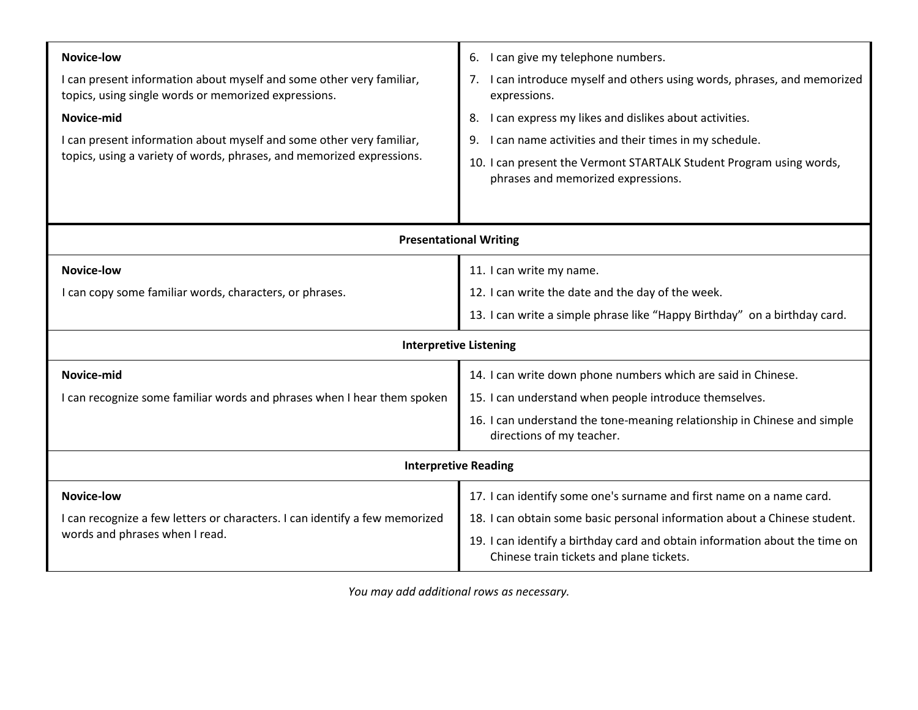| <b>Novice-low</b>                                                                                                            | I can give my telephone numbers.<br>6.                                                                                  |  |
|------------------------------------------------------------------------------------------------------------------------------|-------------------------------------------------------------------------------------------------------------------------|--|
| I can present information about myself and some other very familiar,<br>topics, using single words or memorized expressions. | I can introduce myself and others using words, phrases, and memorized<br>7.<br>expressions.                             |  |
| Novice-mid                                                                                                                   | I can express my likes and dislikes about activities.<br>8.                                                             |  |
| I can present information about myself and some other very familiar,                                                         | I can name activities and their times in my schedule.<br>9.                                                             |  |
| topics, using a variety of words, phrases, and memorized expressions.                                                        | 10. I can present the Vermont STARTALK Student Program using words,<br>phrases and memorized expressions.               |  |
|                                                                                                                              |                                                                                                                         |  |
| <b>Presentational Writing</b>                                                                                                |                                                                                                                         |  |
| <b>Novice-low</b>                                                                                                            | 11. I can write my name.                                                                                                |  |
| I can copy some familiar words, characters, or phrases.                                                                      | 12. I can write the date and the day of the week.                                                                       |  |
|                                                                                                                              | 13. I can write a simple phrase like "Happy Birthday" on a birthday card.                                               |  |
|                                                                                                                              | <b>Interpretive Listening</b>                                                                                           |  |
| Novice-mid                                                                                                                   | 14. I can write down phone numbers which are said in Chinese.                                                           |  |
| I can recognize some familiar words and phrases when I hear them spoken                                                      | 15. I can understand when people introduce themselves.                                                                  |  |
|                                                                                                                              | 16. I can understand the tone-meaning relationship in Chinese and simple<br>directions of my teacher.                   |  |
| <b>Interpretive Reading</b>                                                                                                  |                                                                                                                         |  |
| <b>Novice-low</b>                                                                                                            | 17. I can identify some one's surname and first name on a name card.                                                    |  |
| I can recognize a few letters or characters. I can identify a few memorized                                                  | 18. I can obtain some basic personal information about a Chinese student.                                               |  |
| words and phrases when I read.                                                                                               | 19. I can identify a birthday card and obtain information about the time on<br>Chinese train tickets and plane tickets. |  |

*You may add additional rows as necessary.*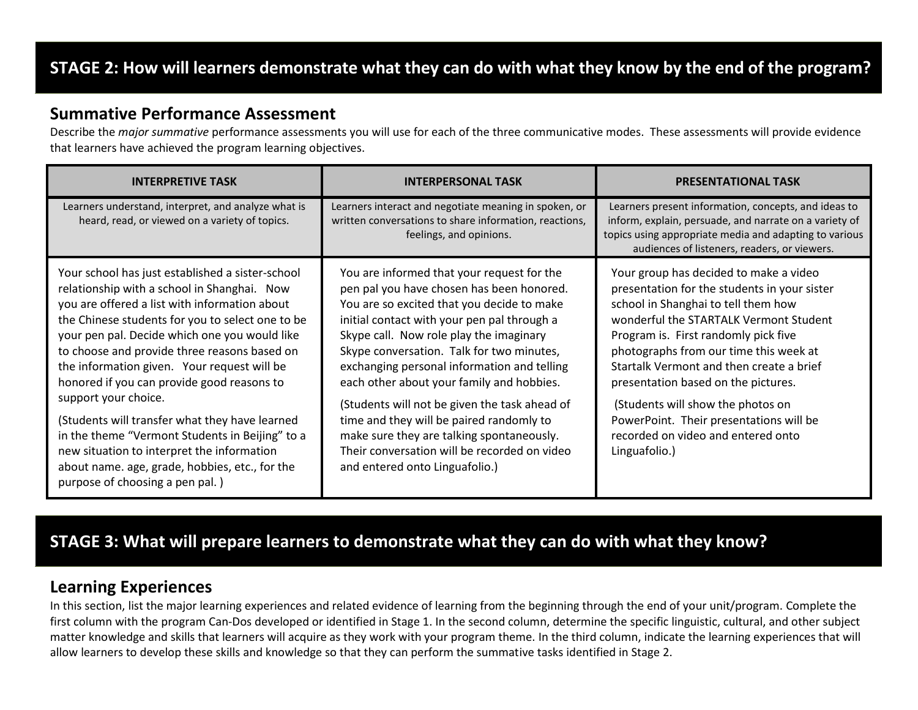# **STAGE 2: How will learners demonstrate what they can do with what they know by the end of the program?**

#### **Summative Performance Assessment**

Describe the *major summative* performance assessments you will use for each of the three communicative modes. These assessments will provide evidence that learners have achieved the program learning objectives.

| <b>INTERPRETIVE TASK</b>                                                                                                                                                                                                                                                                                                                                                                                                                                                                                                                                                                                                                                           | <b>INTERPERSONAL TASK</b>                                                                                                                                                                                                                                                                                                                                                                                                                                                                                                                                                                            | <b>PRESENTATIONAL TASK</b>                                                                                                                                                                                                                                                                                                                                                                                                                                                          |
|--------------------------------------------------------------------------------------------------------------------------------------------------------------------------------------------------------------------------------------------------------------------------------------------------------------------------------------------------------------------------------------------------------------------------------------------------------------------------------------------------------------------------------------------------------------------------------------------------------------------------------------------------------------------|------------------------------------------------------------------------------------------------------------------------------------------------------------------------------------------------------------------------------------------------------------------------------------------------------------------------------------------------------------------------------------------------------------------------------------------------------------------------------------------------------------------------------------------------------------------------------------------------------|-------------------------------------------------------------------------------------------------------------------------------------------------------------------------------------------------------------------------------------------------------------------------------------------------------------------------------------------------------------------------------------------------------------------------------------------------------------------------------------|
| Learners understand, interpret, and analyze what is<br>heard, read, or viewed on a variety of topics.                                                                                                                                                                                                                                                                                                                                                                                                                                                                                                                                                              | Learners interact and negotiate meaning in spoken, or<br>written conversations to share information, reactions,<br>feelings, and opinions.                                                                                                                                                                                                                                                                                                                                                                                                                                                           | Learners present information, concepts, and ideas to<br>inform, explain, persuade, and narrate on a variety of<br>topics using appropriate media and adapting to various<br>audiences of listeners, readers, or viewers.                                                                                                                                                                                                                                                            |
| Your school has just established a sister-school<br>relationship with a school in Shanghai. Now<br>you are offered a list with information about<br>the Chinese students for you to select one to be<br>your pen pal. Decide which one you would like<br>to choose and provide three reasons based on<br>the information given. Your request will be<br>honored if you can provide good reasons to<br>support your choice.<br>(Students will transfer what they have learned<br>in the theme "Vermont Students in Beijing" to a<br>new situation to interpret the information<br>about name. age, grade, hobbies, etc., for the<br>purpose of choosing a pen pal.) | You are informed that your request for the<br>pen pal you have chosen has been honored.<br>You are so excited that you decide to make<br>initial contact with your pen pal through a<br>Skype call. Now role play the imaginary<br>Skype conversation. Talk for two minutes,<br>exchanging personal information and telling<br>each other about your family and hobbies.<br>(Students will not be given the task ahead of<br>time and they will be paired randomly to<br>make sure they are talking spontaneously.<br>Their conversation will be recorded on video<br>and entered onto Linguafolio.) | Your group has decided to make a video<br>presentation for the students in your sister<br>school in Shanghai to tell them how<br>wonderful the STARTALK Vermont Student<br>Program is. First randomly pick five<br>photographs from our time this week at<br>Startalk Vermont and then create a brief<br>presentation based on the pictures.<br>(Students will show the photos on<br>PowerPoint. Their presentations will be<br>recorded on video and entered onto<br>Linguafolio.) |

# **STAGE 3: What will prepare learners to demonstrate what they can do with what they know?**

#### **Learning Experiences**

In this section, list the major learning experiences and related evidence of learning from the beginning through the end of your unit/program. Complete the first column with the program Can-Dos developed or identified in Stage 1. In the second column, determine the specific linguistic, cultural, and other subject matter knowledge and skills that learners will acquire as they work with your program theme. In the third column, indicate the learning experiences that will allow learners to develop these skills and knowledge so that they can perform the summative tasks identified in Stage 2.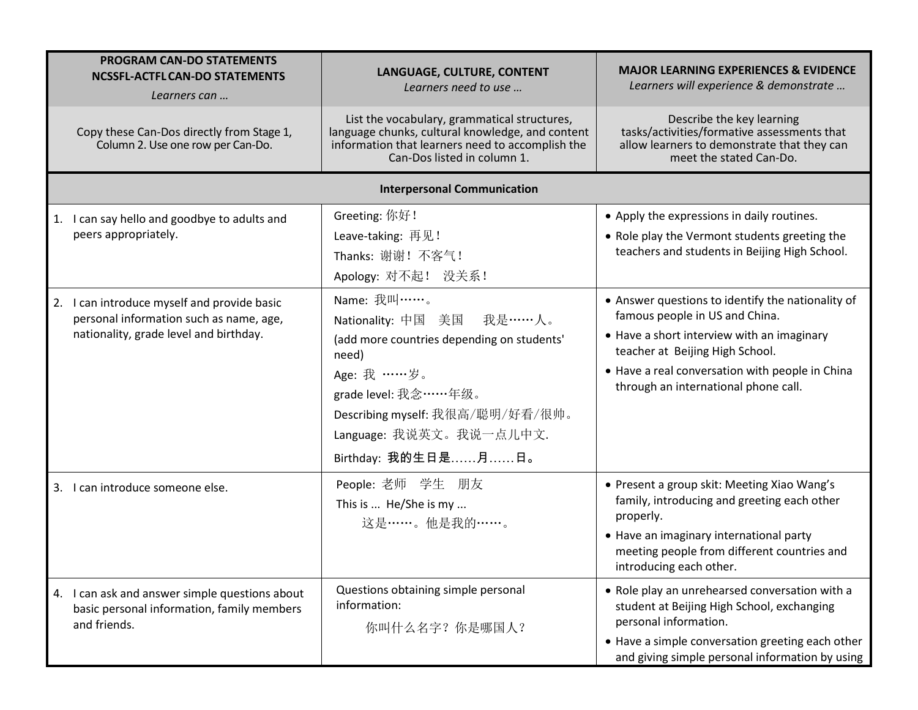| <b>PROGRAM CAN-DO STATEMENTS</b><br><b>NCSSFL-ACTFL CAN-DO STATEMENTS</b><br>Learners can                                           | LANGUAGE, CULTURE, CONTENT<br>Learners need to use                                                                                                                                                                              | <b>MAJOR LEARNING EXPERIENCES &amp; EVIDENCE</b><br>Learners will experience & demonstrate                                                                                                                                                                      |  |  |  |
|-------------------------------------------------------------------------------------------------------------------------------------|---------------------------------------------------------------------------------------------------------------------------------------------------------------------------------------------------------------------------------|-----------------------------------------------------------------------------------------------------------------------------------------------------------------------------------------------------------------------------------------------------------------|--|--|--|
| Copy these Can-Dos directly from Stage 1,<br>Column 2. Use one row per Can-Do.                                                      | List the vocabulary, grammatical structures,<br>language chunks, cultural knowledge, and content<br>information that learners need to accomplish the<br>Can-Dos listed in column 1.                                             | Describe the key learning<br>tasks/activities/formative assessments that<br>allow learners to demonstrate that they can<br>meet the stated Can-Do.                                                                                                              |  |  |  |
|                                                                                                                                     | <b>Interpersonal Communication</b>                                                                                                                                                                                              |                                                                                                                                                                                                                                                                 |  |  |  |
| 1. I can say hello and goodbye to adults and<br>peers appropriately.                                                                | Greeting: 你好!<br>Leave-taking: 再见!<br>Thanks: 谢谢! 不客气!<br>Apology: 对不起! 没关系!                                                                                                                                                    | • Apply the expressions in daily routines.<br>• Role play the Vermont students greeting the<br>teachers and students in Beijing High School.                                                                                                                    |  |  |  |
| I can introduce myself and provide basic<br>2.<br>personal information such as name, age,<br>nationality, grade level and birthday. | Name: 我叫……。<br>Nationality: 中国 美国 我是 …… 人。<br>(add more countries depending on students'<br>need)<br>Age: 我 ……岁。<br>grade level: 我念 …… 年级。<br>Describing myself: 我很高/聪明/好看/很帅。<br>Language: 我说英文。我说一点儿中文.<br>Birthday: 我的生日是月日。 | • Answer questions to identify the nationality of<br>famous people in US and China.<br>• Have a short interview with an imaginary<br>teacher at Beijing High School.<br>• Have a real conversation with people in China<br>through an international phone call. |  |  |  |
| 3. I can introduce someone else.                                                                                                    | People: 老师 学生 朋友<br>This is  He/She is my<br>这是 ……。他是我的……。                                                                                                                                                                      | • Present a group skit: Meeting Xiao Wang's<br>family, introducing and greeting each other<br>properly.<br>• Have an imaginary international party<br>meeting people from different countries and<br>introducing each other.                                    |  |  |  |
| 4. I can ask and answer simple questions about<br>basic personal information, family members<br>and friends.                        | Questions obtaining simple personal<br>information:<br>你叫什么名字? 你是哪国人?                                                                                                                                                           | • Role play an unrehearsed conversation with a<br>student at Beijing High School, exchanging<br>personal information.<br>• Have a simple conversation greeting each other<br>and giving simple personal information by using                                    |  |  |  |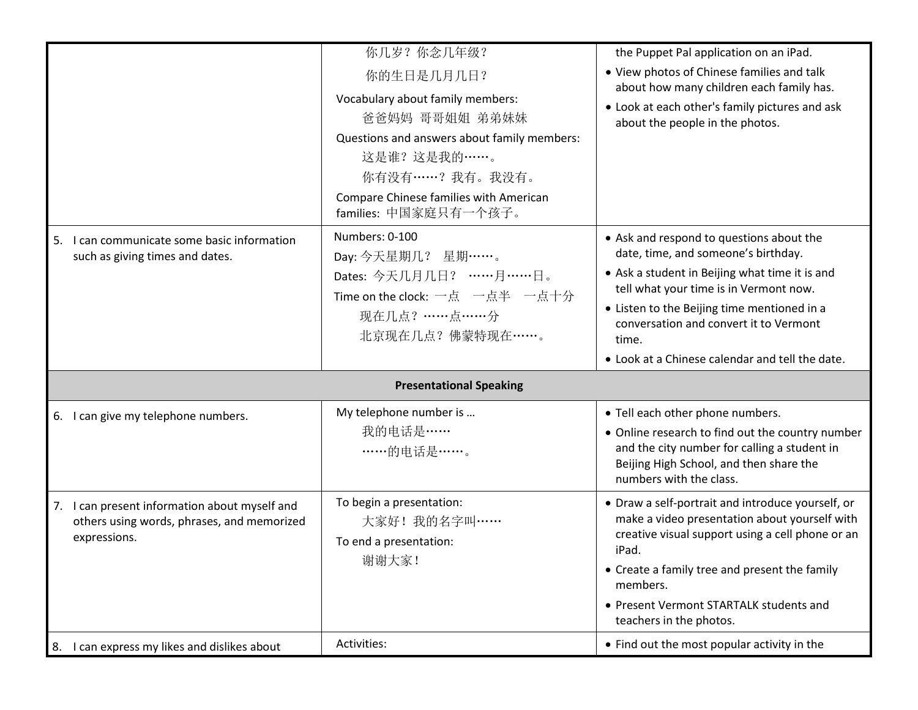|                                                                                                             | 你几岁?你念几年级?<br>你的生日是几月几日?<br>Vocabulary about family members:<br>爸爸妈妈 哥哥姐姐 弟弟妹妹<br>Questions and answers about family members:<br>这是谁?这是我的 ……。<br>你有没有……? 我有。我没有。<br>Compare Chinese families with American<br>families: 中国家庭只有一个孩子。 | the Puppet Pal application on an iPad.<br>• View photos of Chinese families and talk<br>about how many children each family has.<br>• Look at each other's family pictures and ask<br>about the people in the photos.                                                                                                            |
|-------------------------------------------------------------------------------------------------------------|-------------------------------------------------------------------------------------------------------------------------------------------------------------------------------------------------------------------------------------|----------------------------------------------------------------------------------------------------------------------------------------------------------------------------------------------------------------------------------------------------------------------------------------------------------------------------------|
| 5. I can communicate some basic information<br>such as giving times and dates.                              | Numbers: 0-100<br>Day: 今天星期几? 星期……。<br>Dates: 今天几月几日? ……月……日。<br>Time on the clock: 一点 一点半 一点十分<br>现在几点? ……点……分<br>北京现在几点? 佛蒙特现在……。                                                                                                 | • Ask and respond to questions about the<br>date, time, and someone's birthday.<br>• Ask a student in Beijing what time it is and<br>tell what your time is in Vermont now.<br>• Listen to the Beijing time mentioned in a<br>conversation and convert it to Vermont<br>time.<br>• Look at a Chinese calendar and tell the date. |
|                                                                                                             | <b>Presentational Speaking</b>                                                                                                                                                                                                      |                                                                                                                                                                                                                                                                                                                                  |
| 6. I can give my telephone numbers.                                                                         | My telephone number is<br>我的电话是 ……<br>……的电话是……。                                                                                                                                                                                     | • Tell each other phone numbers.<br>• Online research to find out the country number<br>and the city number for calling a student in<br>Beijing High School, and then share the<br>numbers with the class.                                                                                                                       |
| 7. I can present information about myself and<br>others using words, phrases, and memorized<br>expressions. | To begin a presentation:<br>大家好! 我的名字叫……<br>To end a presentation:<br>谢谢大家!                                                                                                                                                         | • Draw a self-portrait and introduce yourself, or<br>make a video presentation about yourself with<br>creative visual support using a cell phone or an<br>iPad.<br>• Create a family tree and present the family<br>members.<br>• Present Vermont STARTALK students and<br>teachers in the photos.                               |
| 8. I can express my likes and dislikes about                                                                | Activities:                                                                                                                                                                                                                         | • Find out the most popular activity in the                                                                                                                                                                                                                                                                                      |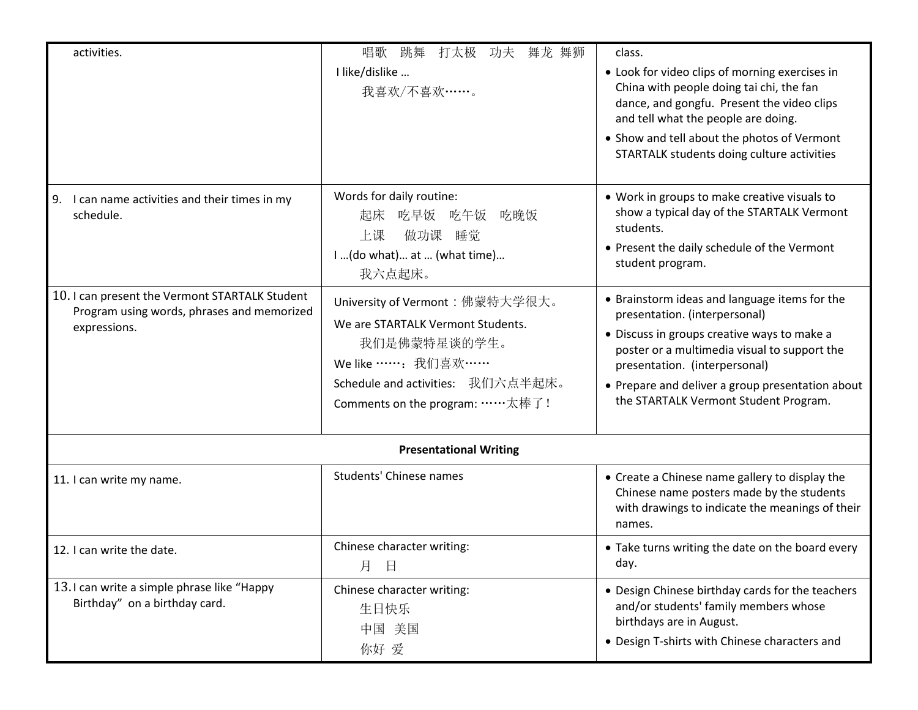| activities.                                                                                                 | 唱歌<br>跳舞<br>打太极<br>舞龙 舞狮<br>功夫<br>I like/dislike<br>我喜欢/不喜欢……。                                                                                                                     | class.<br>• Look for video clips of morning exercises in<br>China with people doing tai chi, the fan<br>dance, and gongfu. Present the video clips<br>and tell what the people are doing.<br>• Show and tell about the photos of Vermont<br>STARTALK students doing culture activities                      |
|-------------------------------------------------------------------------------------------------------------|------------------------------------------------------------------------------------------------------------------------------------------------------------------------------------|-------------------------------------------------------------------------------------------------------------------------------------------------------------------------------------------------------------------------------------------------------------------------------------------------------------|
| 9.<br>I can name activities and their times in my<br>schedule.                                              | Words for daily routine:<br>起床 吃早饭 吃午饭 吃晚饭<br>做功课<br>上课<br>睡觉<br>I  (do what)  at  (what time)<br>我六点起床。                                                                           | • Work in groups to make creative visuals to<br>show a typical day of the STARTALK Vermont<br>students.<br>• Present the daily schedule of the Vermont<br>student program.                                                                                                                                  |
| 10.1 can present the Vermont STARTALK Student<br>Program using words, phrases and memorized<br>expressions. | University of Vermont: 佛蒙特大学很大。<br>We are STARTALK Vermont Students.<br>我们是佛蒙特星谈的学生。<br>We like ……: 我们喜欢……<br>Schedule and activities: 我们六点半起床。<br>Comments on the program: ……太棒了! | • Brainstorm ideas and language items for the<br>presentation. (interpersonal)<br>• Discuss in groups creative ways to make a<br>poster or a multimedia visual to support the<br>presentation. (interpersonal)<br>• Prepare and deliver a group presentation about<br>the STARTALK Vermont Student Program. |
|                                                                                                             | <b>Presentational Writing</b>                                                                                                                                                      |                                                                                                                                                                                                                                                                                                             |
| 11. I can write my name.                                                                                    | <b>Students' Chinese names</b>                                                                                                                                                     | • Create a Chinese name gallery to display the<br>Chinese name posters made by the students<br>with drawings to indicate the meanings of their<br>names.                                                                                                                                                    |
| 12. I can write the date.                                                                                   | Chinese character writing:<br>月<br>日                                                                                                                                               | • Take turns writing the date on the board every<br>day.                                                                                                                                                                                                                                                    |
| 13.1 can write a simple phrase like "Happy<br>Birthday" on a birthday card.                                 | Chinese character writing:<br>生日快乐<br>中国 美国<br>你好 爱                                                                                                                                | • Design Chinese birthday cards for the teachers<br>and/or students' family members whose<br>birthdays are in August.<br>• Design T-shirts with Chinese characters and                                                                                                                                      |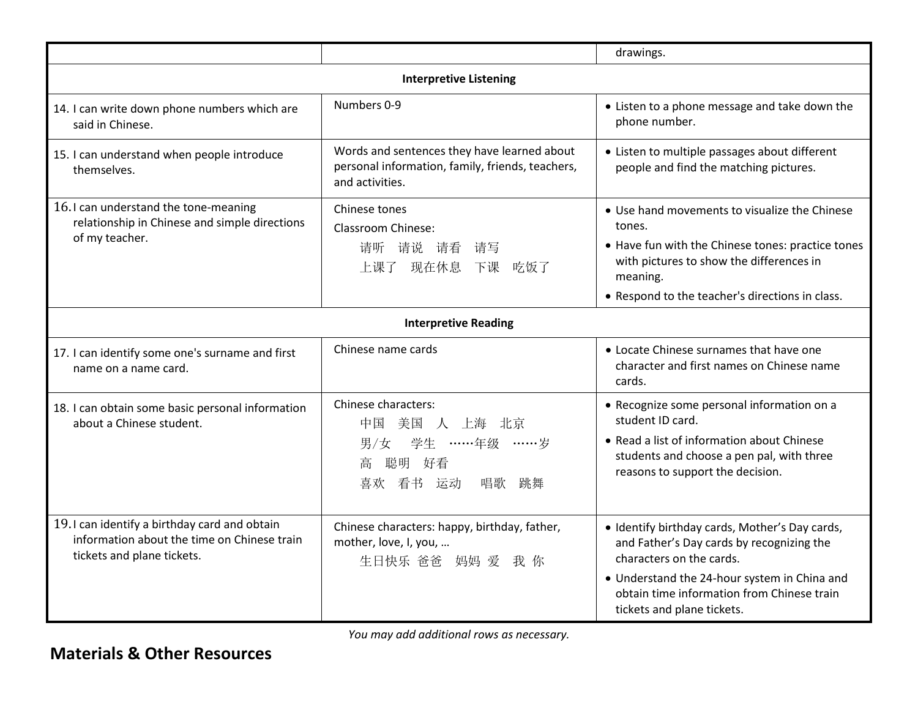|                                                                                                                           |                                                                                                                    | drawings.                                                                                                                                                                                                                                           |
|---------------------------------------------------------------------------------------------------------------------------|--------------------------------------------------------------------------------------------------------------------|-----------------------------------------------------------------------------------------------------------------------------------------------------------------------------------------------------------------------------------------------------|
|                                                                                                                           | <b>Interpretive Listening</b>                                                                                      |                                                                                                                                                                                                                                                     |
| 14. I can write down phone numbers which are<br>said in Chinese.                                                          | Numbers 0-9                                                                                                        | • Listen to a phone message and take down the<br>phone number.                                                                                                                                                                                      |
| 15. I can understand when people introduce<br>themselves.                                                                 | Words and sentences they have learned about<br>personal information, family, friends, teachers,<br>and activities. | • Listen to multiple passages about different<br>people and find the matching pictures.                                                                                                                                                             |
| 16.1 can understand the tone-meaning<br>relationship in Chinese and simple directions                                     | Chinese tones<br><b>Classroom Chinese:</b>                                                                         | • Use hand movements to visualize the Chinese<br>tones.                                                                                                                                                                                             |
| of my teacher.                                                                                                            | 请说 请看<br>请听<br>请写<br>上课了 现在休息<br>下课<br>吃饭了                                                                         | • Have fun with the Chinese tones: practice tones<br>with pictures to show the differences in<br>meaning.                                                                                                                                           |
|                                                                                                                           |                                                                                                                    | • Respond to the teacher's directions in class.                                                                                                                                                                                                     |
|                                                                                                                           | <b>Interpretive Reading</b>                                                                                        |                                                                                                                                                                                                                                                     |
| 17. I can identify some one's surname and first<br>name on a name card.                                                   | Chinese name cards                                                                                                 | • Locate Chinese surnames that have one<br>character and first names on Chinese name<br>cards.                                                                                                                                                      |
| 18. I can obtain some basic personal information<br>about a Chinese student.                                              | Chinese characters:<br>中国<br>美国<br>人 上海<br>北京<br>学生 ……年级 ……岁<br>男/女<br>聪明<br>高<br>好看<br>唱歌<br>看书 运动<br>跳舞<br>喜欢    | • Recognize some personal information on a<br>student ID card.<br>• Read a list of information about Chinese<br>students and choose a pen pal, with three<br>reasons to support the decision.                                                       |
| 19.1 can identify a birthday card and obtain<br>information about the time on Chinese train<br>tickets and plane tickets. | Chinese characters: happy, birthday, father,<br>mother, love, I, you,<br>生日快乐 爸爸 妈妈 爱 我 你                          | · Identify birthday cards, Mother's Day cards,<br>and Father's Day cards by recognizing the<br>characters on the cards.<br>• Understand the 24-hour system in China and<br>obtain time information from Chinese train<br>tickets and plane tickets. |

*You may add additional rows as necessary.*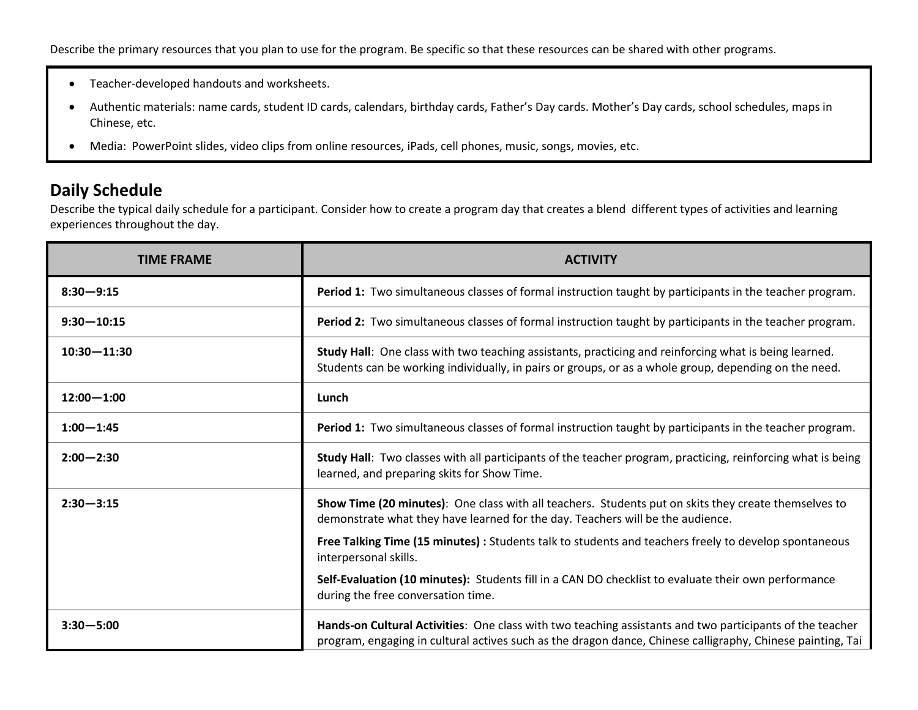- Teacher-developed handouts and worksheets.
- Authentic materials: name cards, student ID cards, calendars, birthday cards, Father's Day cards. Mother's Day cards, school schedules, maps in Chinese, etc.
- Media: PowerPoint slides, video clips from online resources, iPads, cell phones, music, songs, movies, etc.

#### **Daily Schedule**

Describe the typical daily schedule for a participant. Consider how to create a program day that creates a blend different types of activities and learning experiences throughout the day.

| <b>TIME FRAME</b> | <b>ACTIVITY</b>                                                                                                                                                                                                        |
|-------------------|------------------------------------------------------------------------------------------------------------------------------------------------------------------------------------------------------------------------|
| $8:30 - 9:15$     | Period 1: Two simultaneous classes of formal instruction taught by participants in the teacher program.                                                                                                                |
| $9:30 - 10:15$    | Period 2: Two simultaneous classes of formal instruction taught by participants in the teacher program.                                                                                                                |
| $10:30 - 11:30$   | Study Hall: One class with two teaching assistants, practicing and reinforcing what is being learned.<br>Students can be working individually, in pairs or groups, or as a whole group, depending on the need.         |
| $12:00 - 1:00$    | Lunch                                                                                                                                                                                                                  |
| $1:00 - 1:45$     | Period 1: Two simultaneous classes of formal instruction taught by participants in the teacher program.                                                                                                                |
| $2:00 - 2:30$     | Study Hall: Two classes with all participants of the teacher program, practicing, reinforcing what is being<br>learned, and preparing skits for Show Time.                                                             |
| $2:30 - 3:15$     | Show Time (20 minutes): One class with all teachers. Students put on skits they create themselves to<br>demonstrate what they have learned for the day. Teachers will be the audience.                                 |
|                   | Free Talking Time (15 minutes) : Students talk to students and teachers freely to develop spontaneous<br>interpersonal skills.                                                                                         |
|                   | Self-Evaluation (10 minutes): Students fill in a CAN DO checklist to evaluate their own performance<br>during the free conversation time.                                                                              |
| $3:30 - 5:00$     | Hands-on Cultural Activities: One class with two teaching assistants and two participants of the teacher<br>program, engaging in cultural actives such as the dragon dance, Chinese calligraphy, Chinese painting, Tai |